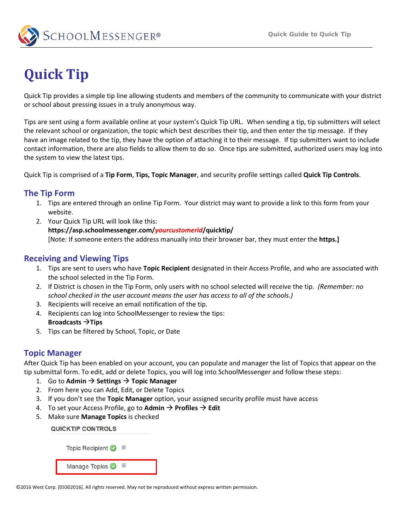

# **Quick Tip**

Quick Tip provides a simple tip line allowing students and members of the community to communicate with your district or school about pressing issues in a truly anonymous way.

Tips are sent using a form available online at your system's Quick Tip URL. When sending a tip, tip submitters will select the relevant school or organization, the topic which best describes their tip, and then enter the tip message. If they have an image related to the tip, they have the option of attaching it to their message. If tip submitters want to include contact information, there are also fields to allow them to do so. Once tips are submitted, authorized users may log into the system to view the latest tips.

Quick Tip is comprised of a **Tip Form**, **Tips, Topic Manager**, and security profile settings called **Quick Tip Controls**.

## **The Tip Form**

- 1. Tips are entered through an online Tip Form. Your district may want to provide a link to this form from your website.
- 2. Your Quick Tip URL will look like this: **https://asp.schoolmessenger.com/***yourcustomerid***/quicktip/** [Note: If someone enters the address manually into their browser bar, they must enter the **https.]**

## **Receiving and Viewing Tips**

- 1. Tips are sent to users who have **Topic Recipient** designated in their Access Profile, and who are associated with the school selected in the Tip Form.
- 2. If District is chosen in the Tip Form, only users with no school selected will receive the tip. *(Remember: no school checked in the user account means the user has access to all of the schools.)*
- 3. Recipients will receive an email notification of the tip.
- 4. Recipients can log into SchoolMessenger to review the tips: **Broadcasts Tips**
- 5. Tips can be filtered by School, Topic, or Date

## **Topic Manager**

After Quick Tip has been enabled on your account, you can populate and manager the list of Topics that appear on the tip submittal form. To edit, add or delete Topics, you will log into SchoolMessenger and follow these steps:

- 1. Go to Admin  $\rightarrow$  Settings  $\rightarrow$  Topic Manager
- 2. From here you can Add, Edit, or Delete Topics
- 3. If you don't see the **Topic Manager** option, your assigned security profile must have access
- 4. To set your Access Profile, go to Admin  $\rightarrow$  Profiles  $\rightarrow$  Edit
- 5. Make sure **Manage Topics** is checked

**QUICKTIP CONTROLS** 

Topic Recipient ◎ **2** Manage Topics 2

©2016 West Corp. [03302016]. All rights reserved. May not be reproduced without express written permission.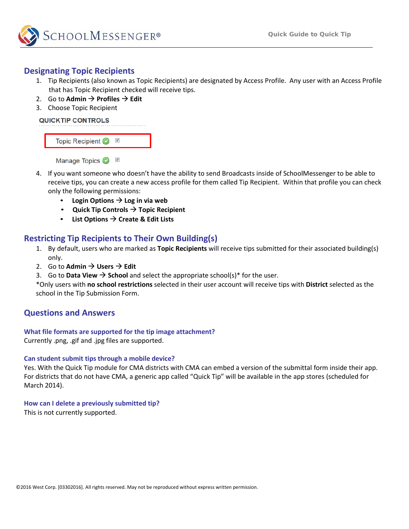

## **Designating Topic Recipients**

- 1. Tip Recipients (also known as Topic Recipients) are designated by Access Profile. Any user with an Access Profile that has Topic Recipient checked will receive tips.
- 2. Go to Admin  $\rightarrow$  Profiles  $\rightarrow$  Edit
- 3. Choose Topic Recipient



Manage Topics ● 図

- 4. If you want someone who doesn't have the ability to send Broadcasts inside of SchoolMessenger to be able to receive tips, you can create a new access profile for them called Tip Recipient. Within that profile you can check only the following permissions:
	- Login Options  $\rightarrow$  Log in via web
	- **Quick Tip Controls**  $\rightarrow$  **Topic Recipient**
	- List Options  $\rightarrow$  Create & Edit Lists

## **Restricting Tip Recipients to Their Own Building(s)**

- 1. By default, users who are marked as **Topic Recipients** will receive tips submitted for their associated building(s) only.
- 2. Go to Admin  $\rightarrow$  Users  $\rightarrow$  Edit
- 3. Go to **Data View**  $\rightarrow$  **School** and select the appropriate school(s)\* for the user.

\*Only users with **no school restrictions** selected in their user account will receive tips with **District** selected as the school in the Tip Submission Form.

## **Questions and Answers**

### **What file formats are supported for the tip image attachment?**

Currently .png, .gif and .jpg files are supported.

### **Can student submit tips through a mobile device?**

Yes. With the Quick Tip module for CMA districts with CMA can embed a version of the submittal form inside their app. For districts that do not have CMA, a generic app called "Quick Tip" will be available in the app stores (scheduled for March 2014).

#### **How can I delete a previously submitted tip?**

This is not currently supported.